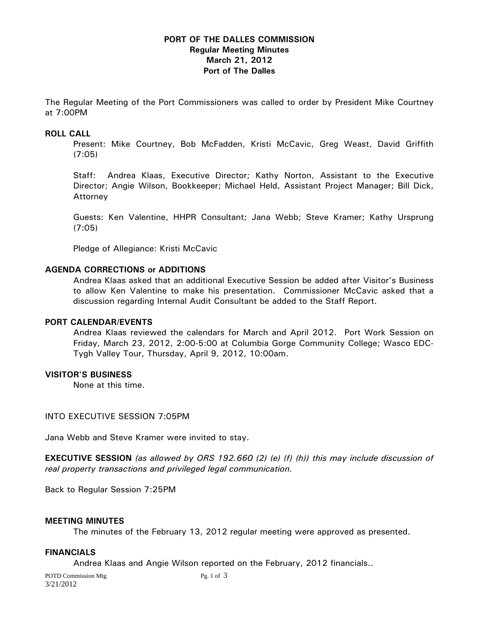# **PORT OF THE DALLES COMMISSION Regular Meeting Minutes March 21, 2012 Port of The Dalles**

The Regular Meeting of the Port Commissioners was called to order by President Mike Courtney at 7:00PM

## **ROLL CALL**

Present: Mike Courtney, Bob McFadden, Kristi McCavic, Greg Weast, David Griffith (7:05)

Staff: Andrea Klaas, Executive Director; Kathy Norton, Assistant to the Executive Director; Angie Wilson, Bookkeeper; Michael Held, Assistant Project Manager; Bill Dick, Attorney

Guests: Ken Valentine, HHPR Consultant; Jana Webb; Steve Kramer; Kathy Ursprung (7:05)

Pledge of Allegiance: Kristi McCavic

## **AGENDA CORRECTIONS or ADDITIONS**

Andrea Klaas asked that an additional Executive Session be added after Visitor's Business to allow Ken Valentine to make his presentation. Commissioner McCavic asked that a discussion regarding Internal Audit Consultant be added to the Staff Report.

#### **PORT CALENDAR/EVENTS**

Andrea Klaas reviewed the calendars for March and April 2012. Port Work Session on Friday, March 23, 2012, 2:00-5:00 at Columbia Gorge Community College; Wasco EDC-Tygh Valley Tour, Thursday, April 9, 2012, 10:00am.

#### **VISITOR'S BUSINESS**

None at this time.

#### INTO EXECUTIVE SESSION 7:05PM

Jana Webb and Steve Kramer were invited to stay.

**EXECUTIVE SESSION** *(as allowed by ORS 192.660 (2) (e) (f) (h)) this may include discussion of real property transactions and privileged legal communication.* 

Back to Regular Session 7:25PM

#### **MEETING MINUTES**

The minutes of the February 13, 2012 regular meeting were approved as presented.

### **FINANCIALS**

Andrea Klaas and Angie Wilson reported on the February, 2012 financials..

POTD Commission Mtg Pg. 1 of 3 3/21/2012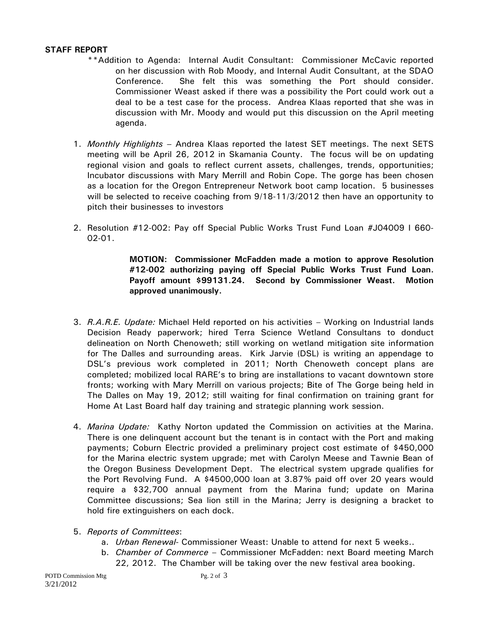# **STAFF REPORT**

- \*\*Addition to Agenda: Internal Audit Consultant: Commissioner McCavic reported on her discussion with Rob Moody, and Internal Audit Consultant, at the SDAO Conference. She felt this was something the Port should consider. Commissioner Weast asked if there was a possibility the Port could work out a deal to be a test case for the process. Andrea Klaas reported that she was in discussion with Mr. Moody and would put this discussion on the April meeting agenda.
- 1. *Monthly Highlights* Andrea Klaas reported the latest SET meetings. The next SETS meeting will be April 26, 2012 in Skamania County. The focus will be on updating regional vision and goals to reflect current assets, challenges, trends, opportunities; Incubator discussions with Mary Merrill and Robin Cope. The gorge has been chosen as a location for the Oregon Entrepreneur Network boot camp location. 5 businesses will be selected to receive coaching from 9/18-11/3/2012 then have an opportunity to pitch their businesses to investors
- 2. Resolution #12-002: Pay off Special Public Works Trust Fund Loan #J04009 I 660- 02-01.

**MOTION: Commissioner McFadden made a motion to approve Resolution #12-002 authorizing paying off Special Public Works Trust Fund Loan. Payoff amount \$99131.24. Second by Commissioner Weast. Motion approved unanimously.** 

- 3. *R.A.R.E. Update:* Michael Held reported on his activities Working on Industrial lands Decision Ready paperwork; hired Terra Science Wetland Consultans to donduct delineation on North Chenoweth; still working on wetland mitigation site information for The Dalles and surrounding areas. Kirk Jarvie (DSL) is writing an appendage to DSL's previous work completed in 2011; North Chenoweth concept plans are completed; mobilized local RARE's to bring are installations to vacant downtown store fronts; working with Mary Merrill on various projects; Bite of The Gorge being held in The Dalles on May 19, 2012; still waiting for final confirmation on training grant for Home At Last Board half day training and strategic planning work session.
- 4. *Marina Update:* Kathy Norton updated the Commission on activities at the Marina. There is one delinquent account but the tenant is in contact with the Port and making payments; Coburn Electric provided a preliminary project cost estimate of \$450,000 for the Marina electric system upgrade; met with Carolyn Meese and Tawnie Bean of the Oregon Business Development Dept. The electrical system upgrade qualifies for the Port Revolving Fund. A \$4500,000 loan at 3.87% paid off over 20 years would require a \$32,700 annual payment from the Marina fund; update on Marina Committee discussions; Sea lion still in the Marina; Jerry is designing a bracket to hold fire extinguishers on each dock.
- 5. *Reports of Committees*:
	- a. *Urban Renewal-* Commissioner Weast: Unable to attend for next 5 weeks..
	- b. *Chamber of Commerce*  Commissioner McFadden: next Board meeting March 22, 2012. The Chamber will be taking over the new festival area booking.